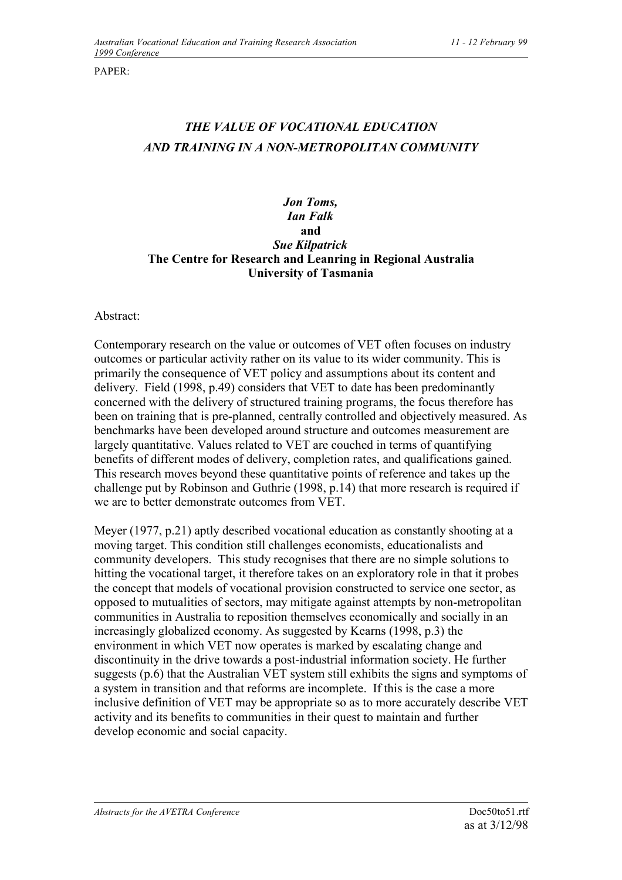PAPER:

## *THE VALUE OF VOCATIONAL EDUCATION AND TRAINING IN A NON-METROPOLITAN COMMUNITY*

## *Jon Toms, Ian Falk* **and** *Sue Kilpatrick* **The Centre for Research and Leanring in Regional Australia University of Tasmania**

## Abstract:

Contemporary research on the value or outcomes of VET often focuses on industry outcomes or particular activity rather on its value to its wider community. This is primarily the consequence of VET policy and assumptions about its content and delivery. Field (1998, p.49) considers that VET to date has been predominantly concerned with the delivery of structured training programs, the focus therefore has been on training that is pre-planned, centrally controlled and objectively measured. As benchmarks have been developed around structure and outcomes measurement are largely quantitative. Values related to VET are couched in terms of quantifying benefits of different modes of delivery, completion rates, and qualifications gained. This research moves beyond these quantitative points of reference and takes up the challenge put by Robinson and Guthrie (1998, p.14) that more research is required if we are to better demonstrate outcomes from VET.

Meyer (1977, p.21) aptly described vocational education as constantly shooting at a moving target. This condition still challenges economists, educationalists and community developers. This study recognises that there are no simple solutions to hitting the vocational target, it therefore takes on an exploratory role in that it probes the concept that models of vocational provision constructed to service one sector, as opposed to mutualities of sectors, may mitigate against attempts by non-metropolitan communities in Australia to reposition themselves economically and socially in an increasingly globalized economy. As suggested by Kearns (1998, p.3) the environment in which VET now operates is marked by escalating change and discontinuity in the drive towards a post-industrial information society. He further suggests (p.6) that the Australian VET system still exhibits the signs and symptoms of a system in transition and that reforms are incomplete. If this is the case a more inclusive definition of VET may be appropriate so as to more accurately describe VET activity and its benefits to communities in their quest to maintain and further develop economic and social capacity.